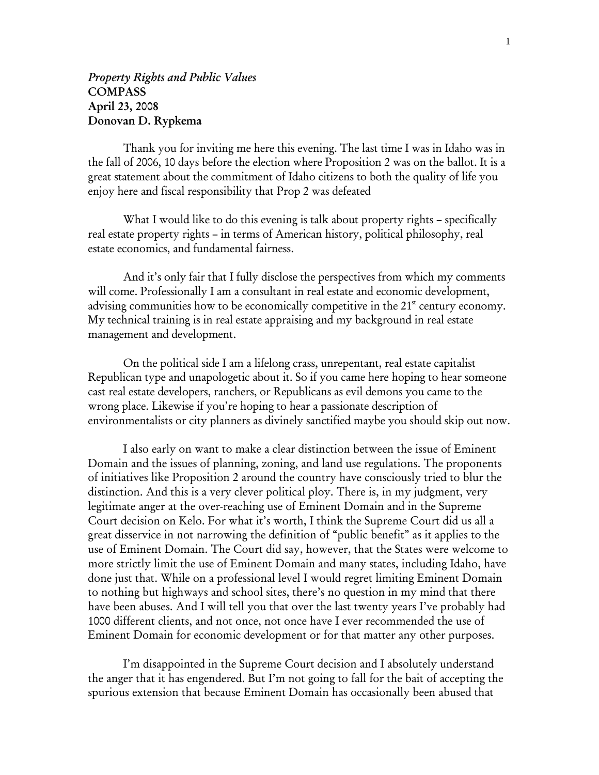## *Property Rights and Public Values*  COMPASS April 23, 2008 Donovan D. Rypkema

 Thank you for inviting me here this evening. The last time I was in Idaho was in the fall of 2006, 10 days before the election where Proposition 2 was on the ballot. It is a great statement about the commitment of Idaho citizens to both the quality of life you enjoy here and fiscal responsibility that Prop 2 was defeated

What I would like to do this evening is talk about property rights – specifically real estate property rights – in terms of American history, political philosophy, real estate economics, and fundamental fairness.

 And it's only fair that I fully disclose the perspectives from which my comments will come. Professionally I am a consultant in real estate and economic development, advising communities how to be economically competitive in the  $21<sup>st</sup>$  century economy. My technical training is in real estate appraising and my background in real estate management and development.

On the political side I am a lifelong crass, unrepentant, real estate capitalist Republican type and unapologetic about it. So if you came here hoping to hear someone cast real estate developers, ranchers, or Republicans as evil demons you came to the wrong place. Likewise if you're hoping to hear a passionate description of environmentalists or city planners as divinely sanctified maybe you should skip out now.

 I also early on want to make a clear distinction between the issue of Eminent Domain and the issues of planning, zoning, and land use regulations. The proponents of initiatives like Proposition 2 around the country have consciously tried to blur the distinction. And this is a very clever political ploy. There is, in my judgment, very legitimate anger at the over-reaching use of Eminent Domain and in the Supreme Court decision on Kelo. For what it's worth, I think the Supreme Court did us all a great disservice in not narrowing the definition of "public benefit" as it applies to the use of Eminent Domain. The Court did say, however, that the States were welcome to more strictly limit the use of Eminent Domain and many states, including Idaho, have done just that. While on a professional level I would regret limiting Eminent Domain to nothing but highways and school sites, there's no question in my mind that there have been abuses. And I will tell you that over the last twenty years I've probably had 1000 different clients, and not once, not once have I ever recommended the use of Eminent Domain for economic development or for that matter any other purposes.

 I'm disappointed in the Supreme Court decision and I absolutely understand the anger that it has engendered. But I'm not going to fall for the bait of accepting the spurious extension that because Eminent Domain has occasionally been abused that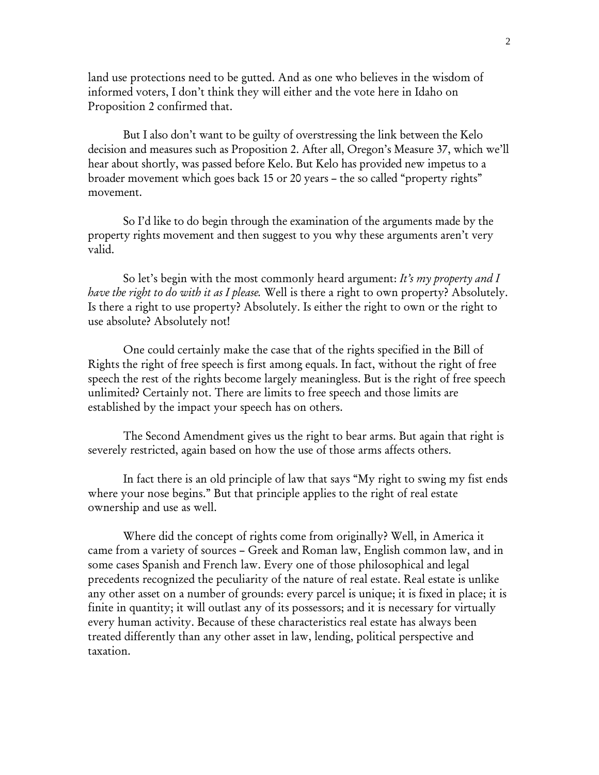land use protections need to be gutted. And as one who believes in the wisdom of informed voters, I don't think they will either and the vote here in Idaho on Proposition 2 confirmed that.

 But I also don't want to be guilty of overstressing the link between the Kelo decision and measures such as Proposition 2. After all, Oregon's Measure 37, which we'll hear about shortly, was passed before Kelo. But Kelo has provided new impetus to a broader movement which goes back 15 or 20 years – the so called "property rights" movement.

 So I'd like to do begin through the examination of the arguments made by the property rights movement and then suggest to you why these arguments aren't very valid.

 So let's begin with the most commonly heard argument: *It's my property and I have the right to do with it as I please.* Well is there a right to own property? Absolutely. Is there a right to use property? Absolutely. Is either the right to own or the right to use absolute? Absolutely not!

 One could certainly make the case that of the rights specified in the Bill of Rights the right of free speech is first among equals. In fact, without the right of free speech the rest of the rights become largely meaningless. But is the right of free speech unlimited? Certainly not. There are limits to free speech and those limits are established by the impact your speech has on others.

 The Second Amendment gives us the right to bear arms. But again that right is severely restricted, again based on how the use of those arms affects others.

 In fact there is an old principle of law that says "My right to swing my fist ends where your nose begins." But that principle applies to the right of real estate ownership and use as well.

 Where did the concept of rights come from originally? Well, in America it came from a variety of sources – Greek and Roman law, English common law, and in some cases Spanish and French law. Every one of those philosophical and legal precedents recognized the peculiarity of the nature of real estate. Real estate is unlike any other asset on a number of grounds: every parcel is unique; it is fixed in place; it is finite in quantity; it will outlast any of its possessors; and it is necessary for virtually every human activity. Because of these characteristics real estate has always been treated differently than any other asset in law, lending, political perspective and taxation.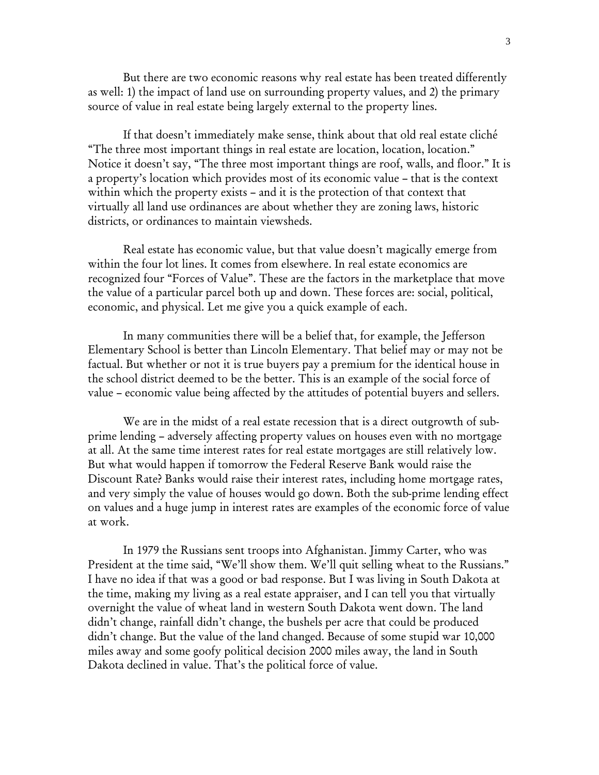But there are two economic reasons why real estate has been treated differently as well: 1) the impact of land use on surrounding property values, and 2) the primary source of value in real estate being largely external to the property lines.

 If that doesn't immediately make sense, think about that old real estate cliché "The three most important things in real estate are location, location, location." Notice it doesn't say, "The three most important things are roof, walls, and floor." It is a property's location which provides most of its economic value – that is the context within which the property exists – and it is the protection of that context that virtually all land use ordinances are about whether they are zoning laws, historic districts, or ordinances to maintain viewsheds.

 Real estate has economic value, but that value doesn't magically emerge from within the four lot lines. It comes from elsewhere. In real estate economics are recognized four "Forces of Value". These are the factors in the marketplace that move the value of a particular parcel both up and down. These forces are: social, political, economic, and physical. Let me give you a quick example of each.

 In many communities there will be a belief that, for example, the Jefferson Elementary School is better than Lincoln Elementary. That belief may or may not be factual. But whether or not it is true buyers pay a premium for the identical house in the school district deemed to be the better. This is an example of the social force of value – economic value being affected by the attitudes of potential buyers and sellers.

 We are in the midst of a real estate recession that is a direct outgrowth of subprime lending – adversely affecting property values on houses even with no mortgage at all. At the same time interest rates for real estate mortgages are still relatively low. But what would happen if tomorrow the Federal Reserve Bank would raise the Discount Rate? Banks would raise their interest rates, including home mortgage rates, and very simply the value of houses would go down. Both the sub-prime lending effect on values and a huge jump in interest rates are examples of the economic force of value at work.

 In 1979 the Russians sent troops into Afghanistan. Jimmy Carter, who was President at the time said, "We'll show them. We'll quit selling wheat to the Russians." I have no idea if that was a good or bad response. But I was living in South Dakota at the time, making my living as a real estate appraiser, and I can tell you that virtually overnight the value of wheat land in western South Dakota went down. The land didn't change, rainfall didn't change, the bushels per acre that could be produced didn't change. But the value of the land changed. Because of some stupid war 10,000 miles away and some goofy political decision 2000 miles away, the land in South Dakota declined in value. That's the political force of value.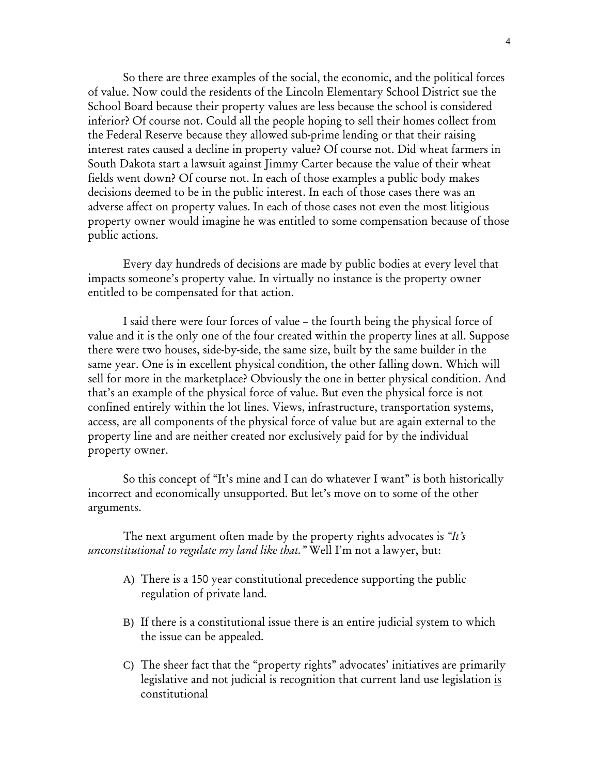So there are three examples of the social, the economic, and the political forces of value. Now could the residents of the Lincoln Elementary School District sue the School Board because their property values are less because the school is considered inferior? Of course not. Could all the people hoping to sell their homes collect from the Federal Reserve because they allowed sub-prime lending or that their raising interest rates caused a decline in property value? Of course not. Did wheat farmers in South Dakota start a lawsuit against Jimmy Carter because the value of their wheat fields went down? Of course not. In each of those examples a public body makes decisions deemed to be in the public interest. In each of those cases there was an adverse affect on property values. In each of those cases not even the most litigious property owner would imagine he was entitled to some compensation because of those public actions.

 Every day hundreds of decisions are made by public bodies at every level that impacts someone's property value. In virtually no instance is the property owner entitled to be compensated for that action.

 I said there were four forces of value – the fourth being the physical force of value and it is the only one of the four created within the property lines at all. Suppose there were two houses, side-by-side, the same size, built by the same builder in the same year. One is in excellent physical condition, the other falling down. Which will sell for more in the marketplace? Obviously the one in better physical condition. And that's an example of the physical force of value. But even the physical force is not confined entirely within the lot lines. Views, infrastructure, transportation systems, access, are all components of the physical force of value but are again external to the property line and are neither created nor exclusively paid for by the individual property owner.

 So this concept of "It's mine and I can do whatever I want" is both historically incorrect and economically unsupported. But let's move on to some of the other arguments.

 The next argument often made by the property rights advocates is *"It's unconstitutional to regulate my land like that."* Well I'm not a lawyer, but:

- A) There is a 150 year constitutional precedence supporting the public regulation of private land.
- B) If there is a constitutional issue there is an entire judicial system to which the issue can be appealed.
- C) The sheer fact that the "property rights" advocates' initiatives are primarily legislative and not judicial is recognition that current land use legislation is constitutional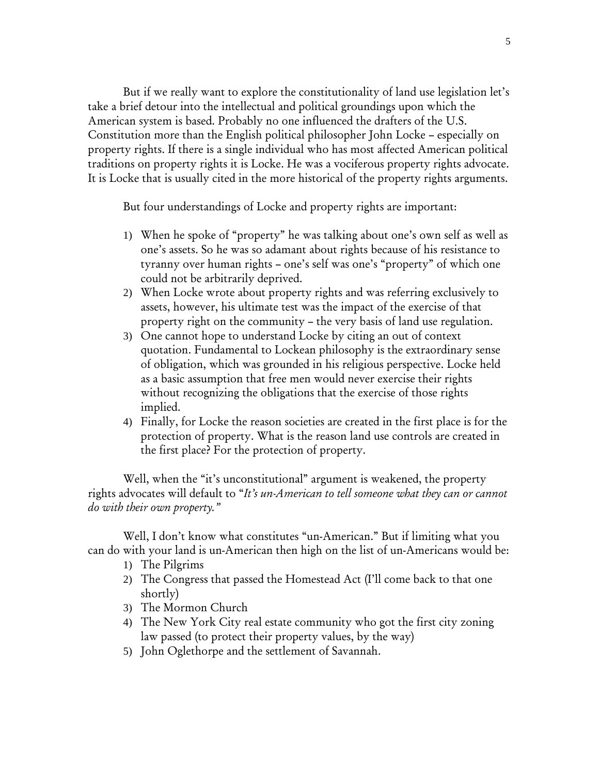But if we really want to explore the constitutionality of land use legislation let's take a brief detour into the intellectual and political groundings upon which the American system is based. Probably no one influenced the drafters of the U.S. Constitution more than the English political philosopher John Locke – especially on property rights. If there is a single individual who has most affected American political traditions on property rights it is Locke. He was a vociferous property rights advocate. It is Locke that is usually cited in the more historical of the property rights arguments.

But four understandings of Locke and property rights are important:

- 1) When he spoke of "property" he was talking about one's own self as well as one's assets. So he was so adamant about rights because of his resistance to tyranny over human rights – one's self was one's "property" of which one could not be arbitrarily deprived.
- 2) When Locke wrote about property rights and was referring exclusively to assets, however, his ultimate test was the impact of the exercise of that property right on the community – the very basis of land use regulation.
- 3) One cannot hope to understand Locke by citing an out of context quotation. Fundamental to Lockean philosophy is the extraordinary sense of obligation, which was grounded in his religious perspective. Locke held as a basic assumption that free men would never exercise their rights without recognizing the obligations that the exercise of those rights implied.
- 4) Finally, for Locke the reason societies are created in the first place is for the protection of property. What is the reason land use controls are created in the first place? For the protection of property.

Well, when the "it's unconstitutional" argument is weakened, the property rights advocates will default to "*It's un-American to tell someone what they can or cannot do with their own property."*

 Well, I don't know what constitutes "un-American." But if limiting what you can do with your land is un-American then high on the list of un-Americans would be:

- 1) The Pilgrims
- 2) The Congress that passed the Homestead Act (I'll come back to that one shortly)
- 3) The Mormon Church
- 4) The New York City real estate community who got the first city zoning law passed (to protect their property values, by the way)
- 5) John Oglethorpe and the settlement of Savannah.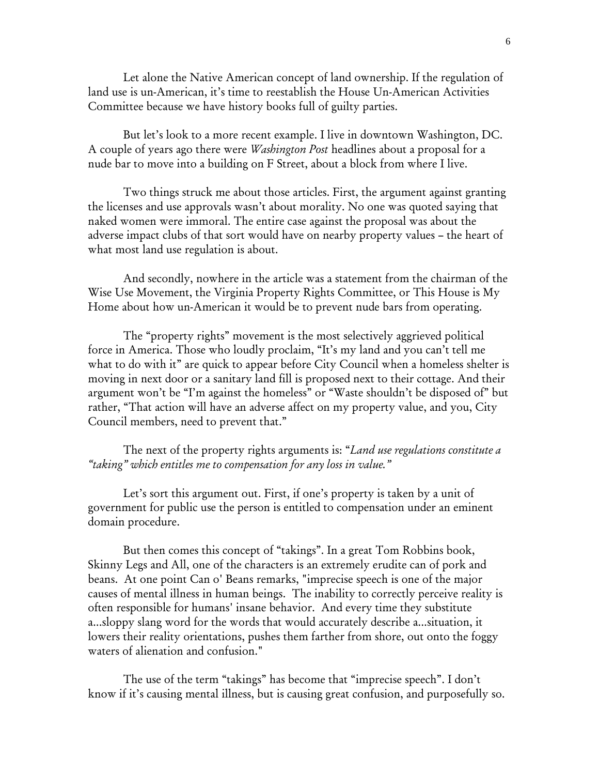Let alone the Native American concept of land ownership. If the regulation of land use is un-American, it's time to reestablish the House Un-American Activities Committee because we have history books full of guilty parties.

But let's look to a more recent example. I live in downtown Washington, DC. A couple of years ago there were *Washington Post* headlines about a proposal for a nude bar to move into a building on F Street, about a block from where I live.

Two things struck me about those articles. First, the argument against granting the licenses and use approvals wasn't about morality. No one was quoted saying that naked women were immoral. The entire case against the proposal was about the adverse impact clubs of that sort would have on nearby property values – the heart of what most land use regulation is about.

And secondly, nowhere in the article was a statement from the chairman of the Wise Use Movement, the Virginia Property Rights Committee, or This House is My Home about how un-American it would be to prevent nude bars from operating.

The "property rights" movement is the most selectively aggrieved political force in America. Those who loudly proclaim, "It's my land and you can't tell me what to do with it" are quick to appear before City Council when a homeless shelter is moving in next door or a sanitary land fill is proposed next to their cottage. And their argument won't be "I'm against the homeless" or "Waste shouldn't be disposed of" but rather, "That action will have an adverse affect on my property value, and you, City Council members, need to prevent that."

The next of the property rights arguments is: "*Land use regulations constitute a "taking" which entitles me to compensation for any loss in value."*

Let's sort this argument out. First, if one's property is taken by a unit of government for public use the person is entitled to compensation under an eminent domain procedure.

But then comes this concept of "takings". In a great Tom Robbins book, Skinny Legs and All, one of the characters is an extremely erudite can of pork and beans. At one point Can o' Beans remarks, "imprecise speech is one of the major causes of mental illness in human beings. The inability to correctly perceive reality is often responsible for humans' insane behavior. And every time they substitute a...sloppy slang word for the words that would accurately describe a...situation, it lowers their reality orientations, pushes them farther from shore, out onto the foggy waters of alienation and confusion."

The use of the term "takings" has become that "imprecise speech". I don't know if it's causing mental illness, but is causing great confusion, and purposefully so.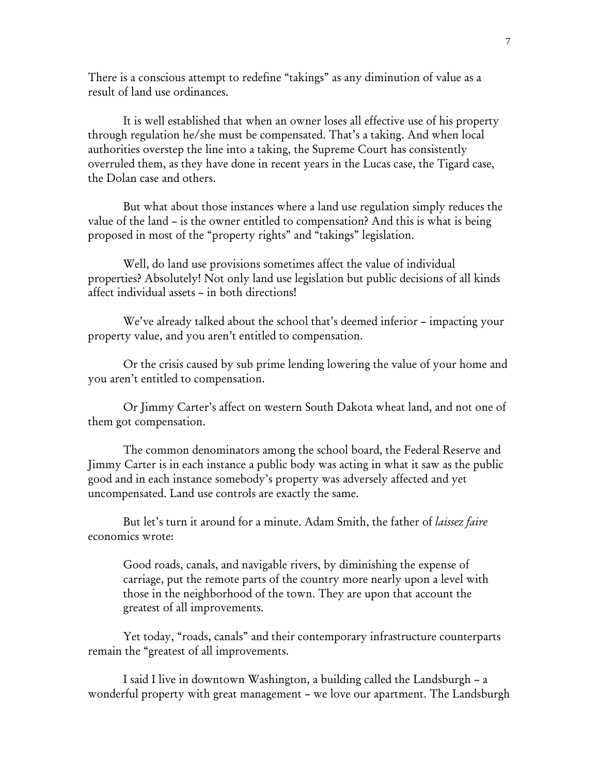There is a conscious attempt to redefine "takings" as any diminution of value as a result of land use ordinances.

It is well established that when an owner loses all effective use of his property through regulation he/she must be compensated. That's a taking. And when local authorities overstep the line into a taking, the Supreme Court has consistently overruled them, as they have done in recent years in the Lucas case, the Tigard case, the Dolan case and others.

But what about those instances where a land use regulation simply reduces the value of the land – is the owner entitled to compensation? And this is what is being proposed in most of the "property rights" and "takings" legislation.

Well, do land use provisions sometimes affect the value of individual properties? Absolutely! Not only land use legislation but public decisions of all kinds affect individual assets – in both directions!

We've already talked about the school that's deemed inferior – impacting your property value, and you aren't entitled to compensation.

Or the crisis caused by sub prime lending lowering the value of your home and you aren't entitled to compensation.

Or Jimmy Carter's affect on western South Dakota wheat land, and not one of them got compensation.

The common denominators among the school board, the Federal Reserve and Jimmy Carter is in each instance a public body was acting in what it saw as the public good and in each instance somebody's property was adversely affected and yet uncompensated. Land use controls are exactly the same.

But let's turn it around for a minute. Adam Smith, the father of *laissez faire* economics wrote:

Good roads, canals, and navigable rivers, by diminishing the expense of carriage, put the remote parts of the country more nearly upon a level with those in the neighborhood of the town. They are upon that account the greatest of all improvements.

Yet today, "roads, canals" and their contemporary infrastructure counterparts remain the "greatest of all improvements.

I said I live in downtown Washington, a building called the Landsburgh – a wonderful property with great management – we love our apartment. The Landsburgh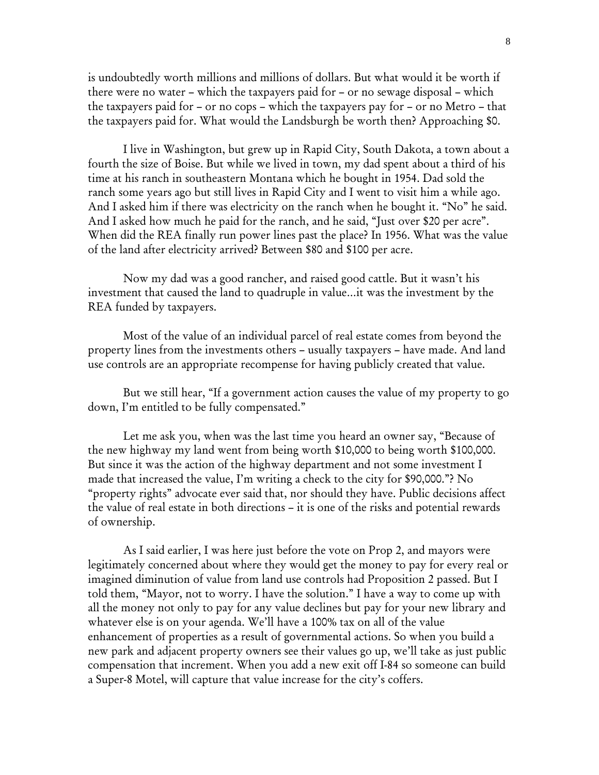is undoubtedly worth millions and millions of dollars. But what would it be worth if there were no water – which the taxpayers paid for – or no sewage disposal – which the taxpayers paid for – or no cops – which the taxpayers pay for – or no Metro – that the taxpayers paid for. What would the Landsburgh be worth then? Approaching \$0.

I live in Washington, but grew up in Rapid City, South Dakota, a town about a fourth the size of Boise. But while we lived in town, my dad spent about a third of his time at his ranch in southeastern Montana which he bought in 1954. Dad sold the ranch some years ago but still lives in Rapid City and I went to visit him a while ago. And I asked him if there was electricity on the ranch when he bought it. "No" he said. And I asked how much he paid for the ranch, and he said, "Just over \$20 per acre". When did the REA finally run power lines past the place? In 1956. What was the value of the land after electricity arrived? Between \$80 and \$100 per acre.

Now my dad was a good rancher, and raised good cattle. But it wasn't his investment that caused the land to quadruple in value…it was the investment by the REA funded by taxpayers.

Most of the value of an individual parcel of real estate comes from beyond the property lines from the investments others – usually taxpayers – have made. And land use controls are an appropriate recompense for having publicly created that value.

But we still hear, "If a government action causes the value of my property to go down, I'm entitled to be fully compensated."

Let me ask you, when was the last time you heard an owner say, "Because of the new highway my land went from being worth \$10,000 to being worth \$100,000. But since it was the action of the highway department and not some investment I made that increased the value, I'm writing a check to the city for \$90,000."? No "property rights" advocate ever said that, nor should they have. Public decisions affect the value of real estate in both directions – it is one of the risks and potential rewards of ownership.

As I said earlier, I was here just before the vote on Prop 2, and mayors were legitimately concerned about where they would get the money to pay for every real or imagined diminution of value from land use controls had Proposition 2 passed. But I told them, "Mayor, not to worry. I have the solution." I have a way to come up with all the money not only to pay for any value declines but pay for your new library and whatever else is on your agenda. We'll have a 100% tax on all of the value enhancement of properties as a result of governmental actions. So when you build a new park and adjacent property owners see their values go up, we'll take as just public compensation that increment. When you add a new exit off I-84 so someone can build a Super-8 Motel, will capture that value increase for the city's coffers.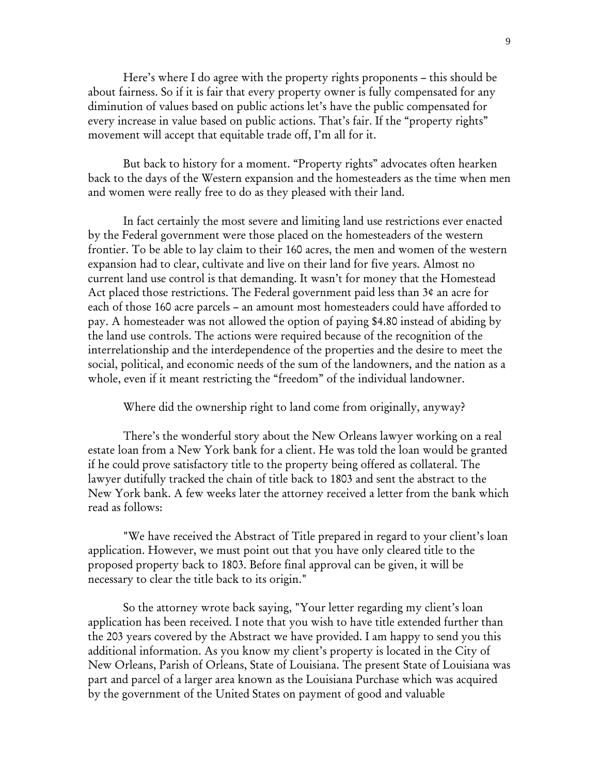Here's where I do agree with the property rights proponents – this should be about fairness. So if it is fair that every property owner is fully compensated for any diminution of values based on public actions let's have the public compensated for every increase in value based on public actions. That's fair. If the "property rights" movement will accept that equitable trade off, I'm all for it.

But back to history for a moment. "Property rights" advocates often hearken back to the days of the Western expansion and the homesteaders as the time when men and women were really free to do as they pleased with their land.

In fact certainly the most severe and limiting land use restrictions ever enacted by the Federal government were those placed on the homesteaders of the western frontier. To be able to lay claim to their 160 acres, the men and women of the western expansion had to clear, cultivate and live on their land for five years. Almost no current land use control is that demanding. It wasn't for money that the Homestead Act placed those restrictions. The Federal government paid less than 3¢ an acre for each of those 160 acre parcels – an amount most homesteaders could have afforded to pay. A homesteader was not allowed the option of paying \$4.80 instead of abiding by the land use controls. The actions were required because of the recognition of the interrelationship and the interdependence of the properties and the desire to meet the social, political, and economic needs of the sum of the landowners, and the nation as a whole, even if it meant restricting the "freedom" of the individual landowner.

Where did the ownership right to land come from originally, anyway?

There's the wonderful story about the New Orleans lawyer working on a real estate loan from a New York bank for a client. He was told the loan would be granted if he could prove satisfactory title to the property being offered as collateral. The lawyer dutifully tracked the chain of title back to 1803 and sent the abstract to the New York bank. A few weeks later the attorney received a letter from the bank which read as follows:

"We have received the Abstract of Title prepared in regard to your client's loan application. However, we must point out that you have only cleared title to the proposed property back to 1803. Before final approval can be given, it will be necessary to clear the title back to its origin."

So the attorney wrote back saying, "Your letter regarding my client's loan application has been received. I note that you wish to have title extended further than the 203 years covered by the Abstract we have provided. I am happy to send you this additional information. As you know my client's property is located in the City of New Orleans, Parish of Orleans, State of Louisiana. The present State of Louisiana was part and parcel of a larger area known as the Louisiana Purchase which was acquired by the government of the United States on payment of good and valuable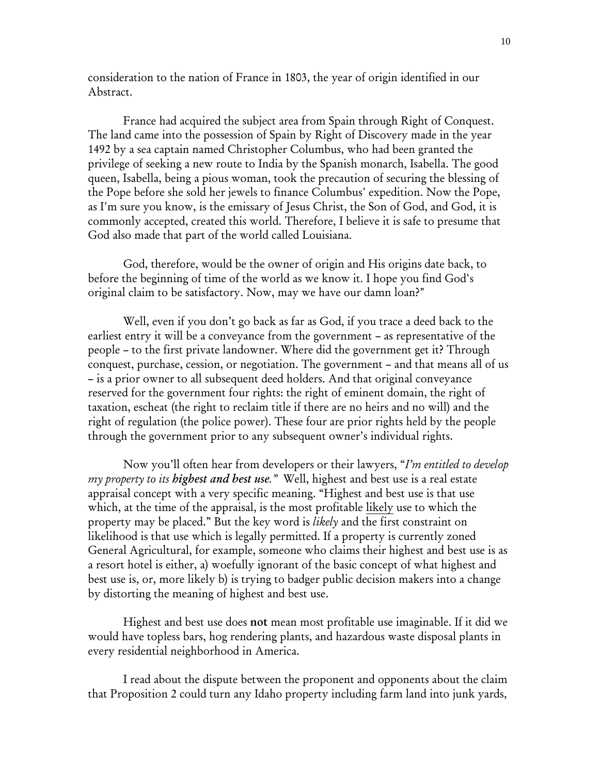consideration to the nation of France in 1803, the year of origin identified in our Abstract.

France had acquired the subject area from Spain through Right of Conquest. The land came into the possession of Spain by Right of Discovery made in the year 1492 by a sea captain named Christopher Columbus, who had been granted the privilege of seeking a new route to India by the Spanish monarch, Isabella. The good queen, Isabella, being a pious woman, took the precaution of securing the blessing of the Pope before she sold her jewels to finance Columbus' expedition. Now the Pope, as I'm sure you know, is the emissary of Jesus Christ, the Son of God, and God, it is commonly accepted, created this world. Therefore, I believe it is safe to presume that God also made that part of the world called Louisiana.

God, therefore, would be the owner of origin and His origins date back, to before the beginning of time of the world as we know it. I hope you find God's original claim to be satisfactory. Now, may we have our damn loan?"

Well, even if you don't go back as far as God, if you trace a deed back to the earliest entry it will be a conveyance from the government – as representative of the people – to the first private landowner. Where did the government get it? Through conquest, purchase, cession, or negotiation. The government – and that means all of us – is a prior owner to all subsequent deed holders. And that original conveyance reserved for the government four rights: the right of eminent domain, the right of taxation, escheat (the right to reclaim title if there are no heirs and no will) and the right of regulation (the police power). These four are prior rights held by the people through the government prior to any subsequent owner's individual rights.

Now you'll often hear from developers or their lawyers, "*I'm entitled to develop my property to its highest and best use."* Well, highest and best use is a real estate appraisal concept with a very specific meaning. "Highest and best use is that use which, at the time of the appraisal, is the most profitable likely use to which the property may be placed." But the key word is *likely* and the first constraint on likelihood is that use which is legally permitted. If a property is currently zoned General Agricultural, for example, someone who claims their highest and best use is as a resort hotel is either, a) woefully ignorant of the basic concept of what highest and best use is, or, more likely b) is trying to badger public decision makers into a change by distorting the meaning of highest and best use.

Highest and best use does not mean most profitable use imaginable. If it did we would have topless bars, hog rendering plants, and hazardous waste disposal plants in every residential neighborhood in America.

I read about the dispute between the proponent and opponents about the claim that Proposition 2 could turn any Idaho property including farm land into junk yards,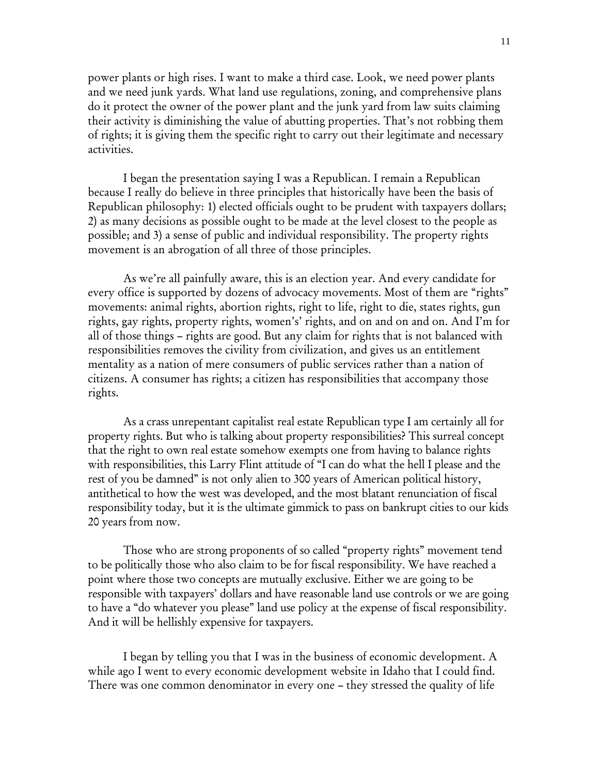power plants or high rises. I want to make a third case. Look, we need power plants and we need junk yards. What land use regulations, zoning, and comprehensive plans do it protect the owner of the power plant and the junk yard from law suits claiming their activity is diminishing the value of abutting properties. That's not robbing them of rights; it is giving them the specific right to carry out their legitimate and necessary activities.

I began the presentation saying I was a Republican. I remain a Republican because I really do believe in three principles that historically have been the basis of Republican philosophy: 1) elected officials ought to be prudent with taxpayers dollars; 2) as many decisions as possible ought to be made at the level closest to the people as possible; and 3) a sense of public and individual responsibility. The property rights movement is an abrogation of all three of those principles.

As we're all painfully aware, this is an election year. And every candidate for every office is supported by dozens of advocacy movements. Most of them are "rights" movements: animal rights, abortion rights, right to life, right to die, states rights, gun rights, gay rights, property rights, women's' rights, and on and on and on. And I'm for all of those things – rights are good. But any claim for rights that is not balanced with responsibilities removes the civility from civilization, and gives us an entitlement mentality as a nation of mere consumers of public services rather than a nation of citizens. A consumer has rights; a citizen has responsibilities that accompany those rights.

As a crass unrepentant capitalist real estate Republican type I am certainly all for property rights. But who is talking about property responsibilities? This surreal concept that the right to own real estate somehow exempts one from having to balance rights with responsibilities, this Larry Flint attitude of "I can do what the hell I please and the rest of you be damned" is not only alien to 300 years of American political history, antithetical to how the west was developed, and the most blatant renunciation of fiscal responsibility today, but it is the ultimate gimmick to pass on bankrupt cities to our kids 20 years from now.

Those who are strong proponents of so called "property rights" movement tend to be politically those who also claim to be for fiscal responsibility. We have reached a point where those two concepts are mutually exclusive. Either we are going to be responsible with taxpayers' dollars and have reasonable land use controls or we are going to have a "do whatever you please" land use policy at the expense of fiscal responsibility. And it will be hellishly expensive for taxpayers.

I began by telling you that I was in the business of economic development. A while ago I went to every economic development website in Idaho that I could find. There was one common denominator in every one – they stressed the quality of life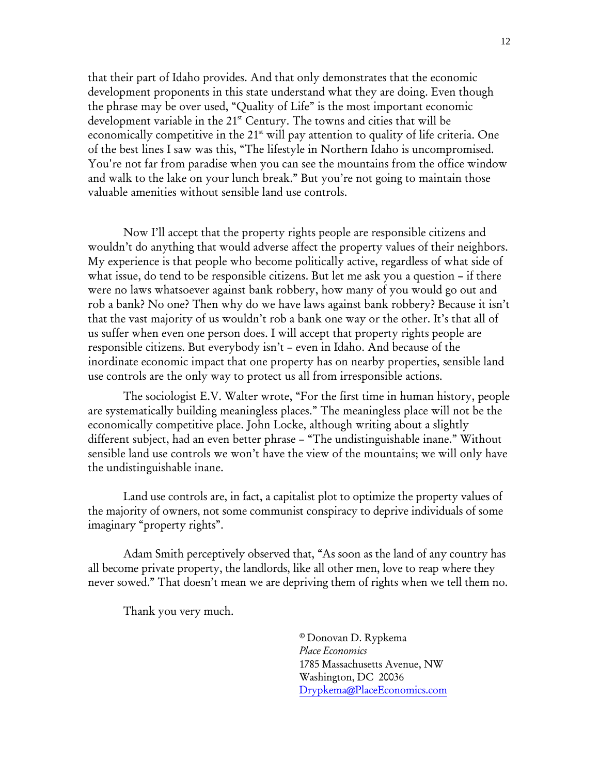that their part of Idaho provides. And that only demonstrates that the economic development proponents in this state understand what they are doing. Even though the phrase may be over used, "Quality of Life" is the most important economic development variable in the 21<sup>st</sup> Century. The towns and cities that will be economically competitive in the  $21<sup>st</sup>$  will pay attention to quality of life criteria. One of the best lines I saw was this, "The lifestyle in Northern Idaho is uncompromised. You're not far from paradise when you can see the mountains from the office window and walk to the lake on your lunch break." But you're not going to maintain those valuable amenities without sensible land use controls.

Now I'll accept that the property rights people are responsible citizens and wouldn't do anything that would adverse affect the property values of their neighbors. My experience is that people who become politically active, regardless of what side of what issue, do tend to be responsible citizens. But let me ask you a question – if there were no laws whatsoever against bank robbery, how many of you would go out and rob a bank? No one? Then why do we have laws against bank robbery? Because it isn't that the vast majority of us wouldn't rob a bank one way or the other. It's that all of us suffer when even one person does. I will accept that property rights people are responsible citizens. But everybody isn't – even in Idaho. And because of the inordinate economic impact that one property has on nearby properties, sensible land use controls are the only way to protect us all from irresponsible actions.

The sociologist E.V. Walter wrote, "For the first time in human history, people are systematically building meaningless places." The meaningless place will not be the economically competitive place. John Locke, although writing about a slightly different subject, had an even better phrase – "The undistinguishable inane." Without sensible land use controls we won't have the view of the mountains; we will only have the undistinguishable inane.

Land use controls are, in fact, a capitalist plot to optimize the property values of the majority of owners, not some communist conspiracy to deprive individuals of some imaginary "property rights".

Adam Smith perceptively observed that, "As soon as the land of any country has all become private property, the landlords, like all other men, love to reap where they never sowed." That doesn't mean we are depriving them of rights when we tell them no.

Thank you very much.

© Donovan D. Rypkema *Place Economics*  1785 Massachusetts Avenue, NW Washington, DC 20036 Drypkema@PlaceEconomics.com